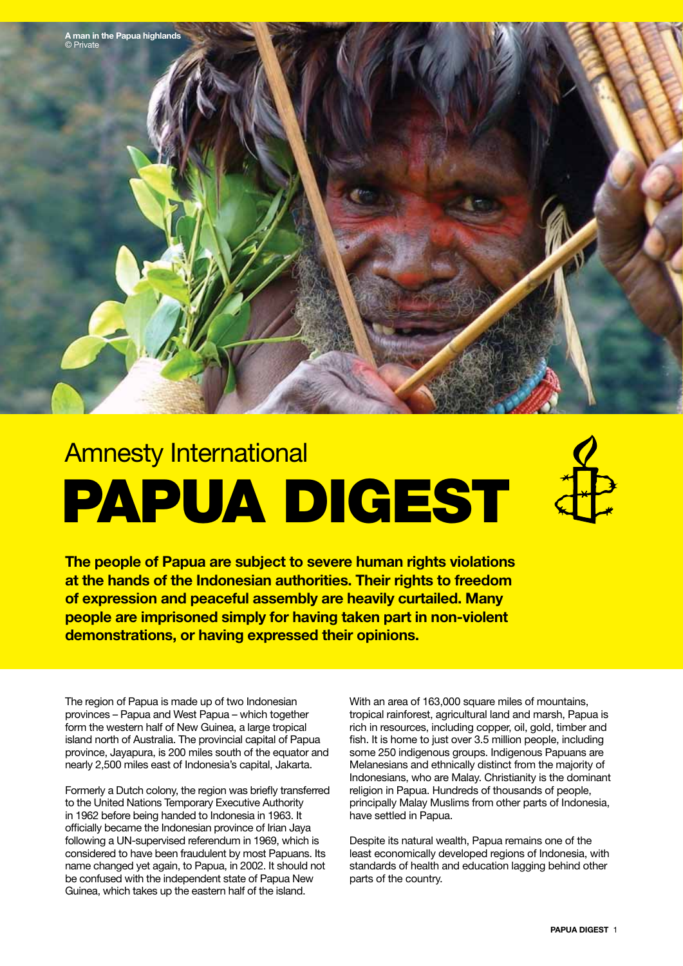

# Amnesty International PAPUA DIGESt

**The people of Papua are subject to severe human rights violations at the hands of the Indonesian authorities. Their rights to freedom of expression and peaceful assembly are heavily curtailed. Many people are imprisoned simply for having taken part in non-violent demonstrations, or having expressed their opinions.**

The region of Papua is made up of two Indonesian provinces – Papua and West Papua – which together form the western half of New Guinea, a large tropical island north of Australia. The provincial capital of Papua province, Jayapura, is 200 miles south of the equator and nearly 2,500 miles east of Indonesia's capital, Jakarta.

Formerly a Dutch colony, the region was briefly transferred to the United Nations Temporary Executive Authority in 1962 before being handed to Indonesia in 1963. It officially became the Indonesian province of Irian Jaya following a UN-supervised referendum in 1969, which is considered to have been fraudulent by most Papuans. Its name changed yet again, to Papua, in 2002. It should not be confused with the independent state of Papua New Guinea, which takes up the eastern half of the island.

With an area of 163,000 square miles of mountains, tropical rainforest, agricultural land and marsh, Papua is rich in resources, including copper, oil, gold, timber and fish. It is home to just over 3.5 million people, including some 250 indigenous groups. Indigenous Papuans are Melanesians and ethnically distinct from the majority of Indonesians, who are Malay. Christianity is the dominant religion in Papua. Hundreds of thousands of people, principally Malay Muslims from other parts of Indonesia, have settled in Papua.

Despite its natural wealth, Papua remains one of the least economically developed regions of Indonesia, with standards of health and education lagging behind other parts of the country.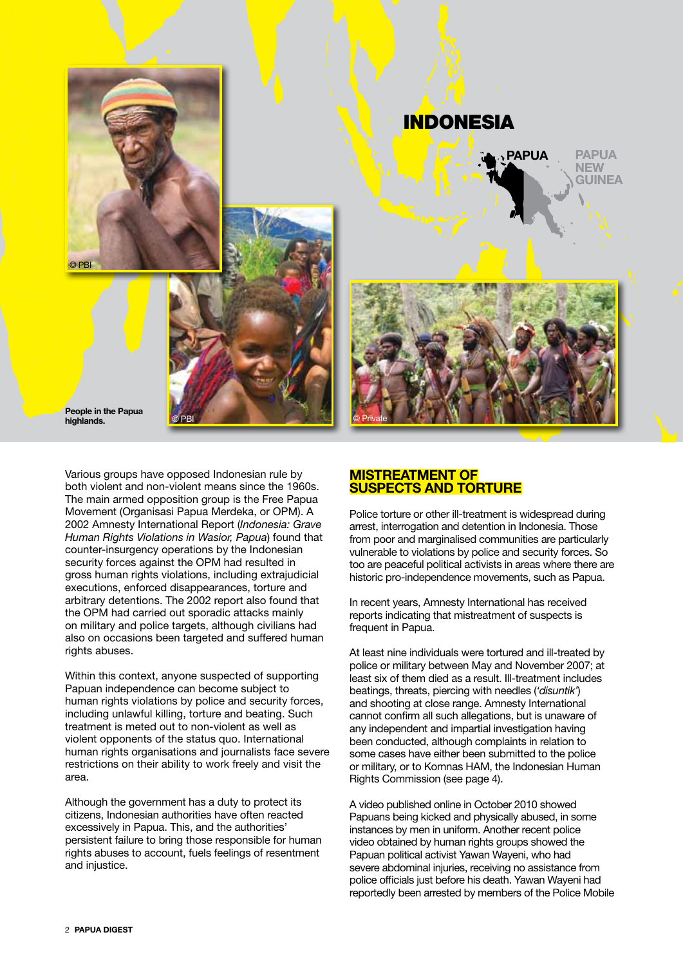

# indonesia



People in the Papua **highlands.**

Various groups have opposed Indonesian rule by both violent and non-violent means since the 1960s. The main armed opposition group is the Free Papua Movement (Organisasi Papua Merdeka, or OPM). A 2002 Amnesty International Report (*Indonesia: Grave Human Rights Violations in Wasior, Papua*) found that counter-insurgency operations by the Indonesian security forces against the OPM had resulted in gross human rights violations, including extrajudicial executions, enforced disappearances, torture and arbitrary detentions. The 2002 report also found that the OPM had carried out sporadic attacks mainly on military and police targets, although civilians had also on occasions been targeted and suffered human rights abuses.

Within this context, anyone suspected of supporting Papuan independence can become subject to human rights violations by police and security forces, including unlawful killing, torture and beating. Such treatment is meted out to non-violent as well as violent opponents of the status quo. International human rights organisations and journalists face severe restrictions on their ability to work freely and visit the area.

Although the government has a duty to protect its citizens, Indonesian authorities have often reacted excessively in Papua. This, and the authorities' persistent failure to bring those responsible for human rights abuses to account, fuels feelings of resentment and injustice.



#### **Mistreatment of suspects and torture**

Police torture or other ill-treatment is widespread during arrest, interrogation and detention in Indonesia. Those from poor and marginalised communities are particularly vulnerable to violations by police and security forces. So too are peaceful political activists in areas where there are historic pro-independence movements, such as Papua.

In recent years, Amnesty International has received reports indicating that mistreatment of suspects is frequent in Papua.

At least nine individuals were tortured and ill-treated by police or military between May and November 2007; at least six of them died as a result. Ill-treatment includes beatings, threats, piercing with needles (*'disuntik'*) and shooting at close range. Amnesty International cannot confirm all such allegations, but is unaware of any independent and impartial investigation having been conducted, although complaints in relation to some cases have either been submitted to the police or military, or to Komnas HAM, the Indonesian Human Rights Commission (see page 4).

A video published online in October 2010 showed Papuans being kicked and physically abused, in some instances by men in uniform. Another recent police video obtained by human rights groups showed the Papuan political activist Yawan Wayeni, who had severe abdominal injuries, receiving no assistance from police officials just before his death. Yawan Wayeni had reportedly been arrested by members of the Police Mobile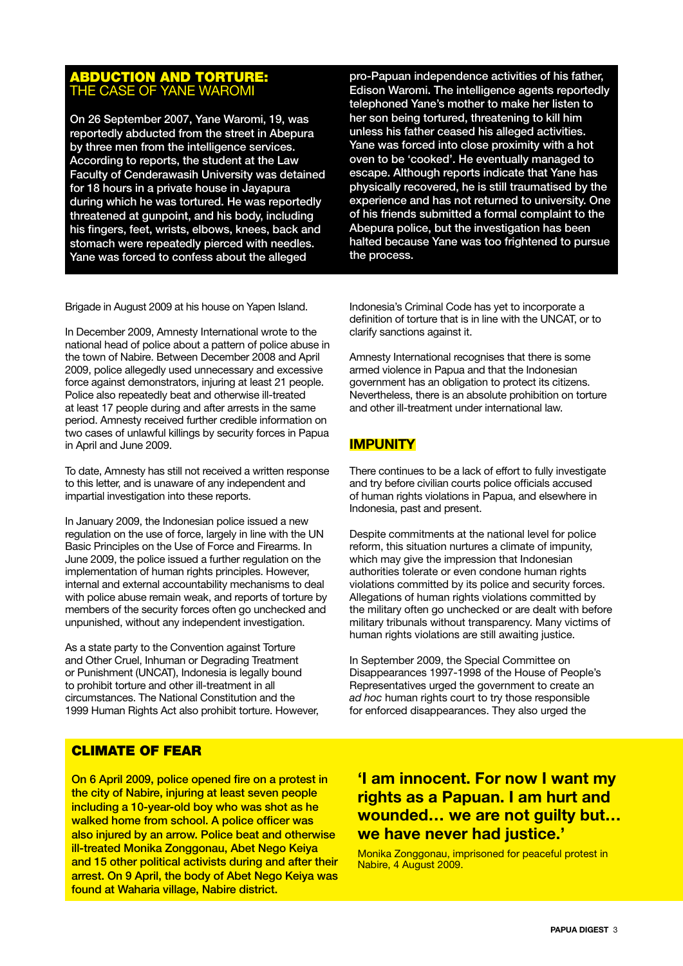#### Abduction and torture: THE CASE OF YANE WAI

On 26 September 2007, Yane Waromi, 19, was reportedly abducted from the street in Abepura by three men from the intelligence services. According to reports, the student at the Law Faculty of Cenderawasih University was detained for 18 hours in a private house in Jayapura during which he was tortured. He was reportedly threatened at gunpoint, and his body, including his fingers, feet, wrists, elbows, knees, back and stomach were repeatedly pierced with needles. Yane was forced to confess about the alleged

pro-Papuan independence activities of his father, Edison Waromi. The intelligence agents reportedly telephoned Yane's mother to make her listen to her son being tortured, threatening to kill him unless his father ceased his alleged activities. Yane was forced into close proximity with a hot oven to be 'cooked'. He eventually managed to escape. Although reports indicate that Yane has physically recovered, he is still traumatised by the experience and has not returned to university. One of his friends submitted a formal complaint to the Abepura police, but the investigation has been halted because Yane was too frightened to pursue the process.

Brigade in August 2009 at his house on Yapen Island.

In December 2009, Amnesty International wrote to the national head of police about a pattern of police abuse in the town of Nabire. Between December 2008 and April 2009, police allegedly used unnecessary and excessive force against demonstrators, injuring at least 21 people. Police also repeatedly beat and otherwise ill-treated at least 17 people during and after arrests in the same period. Amnesty received further credible information on two cases of unlawful killings by security forces in Papua in April and June 2009.

To date, Amnesty has still not received a written response to this letter, and is unaware of any independent and impartial investigation into these reports.

In January 2009, the Indonesian police issued a new regulation on the use of force, largely in line with the UN Basic Principles on the Use of Force and Firearms. In June 2009, the police issued a further regulation on the implementation of human rights principles. However, internal and external accountability mechanisms to deal with police abuse remain weak, and reports of torture by members of the security forces often go unchecked and unpunished, without any independent investigation.

As a state party to the Convention against Torture and Other Cruel, Inhuman or Degrading Treatment or Punishment (UNCAT), Indonesia is legally bound to prohibit torture and other ill-treatment in all circumstances. The National Constitution and the 1999 Human Rights Act also prohibit torture. However,

Indonesia's Criminal Code has yet to incorporate a definition of torture that is in line with the UNCAT, or to clarify sanctions against it.

Amnesty International recognises that there is some armed violence in Papua and that the Indonesian government has an obligation to protect its citizens. Nevertheless, there is an absolute prohibition on torture and other ill-treatment under international law.

#### **Impunity**

There continues to be a lack of effort to fully investigate and try before civilian courts police officials accused of human rights violations in Papua, and elsewhere in Indonesia, past and present.

Despite commitments at the national level for police reform, this situation nurtures a climate of impunity, which may give the impression that Indonesian authorities tolerate or even condone human rights violations committed by its police and security forces. Allegations of human rights violations committed by the military often go unchecked or are dealt with before military tribunals without transparency. Many victims of human rights violations are still awaiting justice.

In September 2009, the Special Committee on Disappearances 1997-1998 of the House of People's Representatives urged the government to create an *ad hoc* human rights court to try those responsible for enforced disappearances. They also urged the

#### CLIMATE OF FEAR

On 6 April 2009, police opened fire on a protest in the city of Nabire, injuring at least seven people including a 10-year-old boy who was shot as he walked home from school. A police officer was also injured by an arrow. Police beat and otherwise ill-treated Monika Zonggonau, Abet Nego Keiya and 15 other political activists during and after their arrest. On 9 April, the body of Abet Nego Keiya was found at Waharia village, Nabire district.

### **'I am innocent. For now I want my rights as a Papuan. I am hurt and wounded… we are not guilty but… we have never had justice.'**

Monika Zonggonau, imprisoned for peaceful protest in Nabire, 4 August 2009.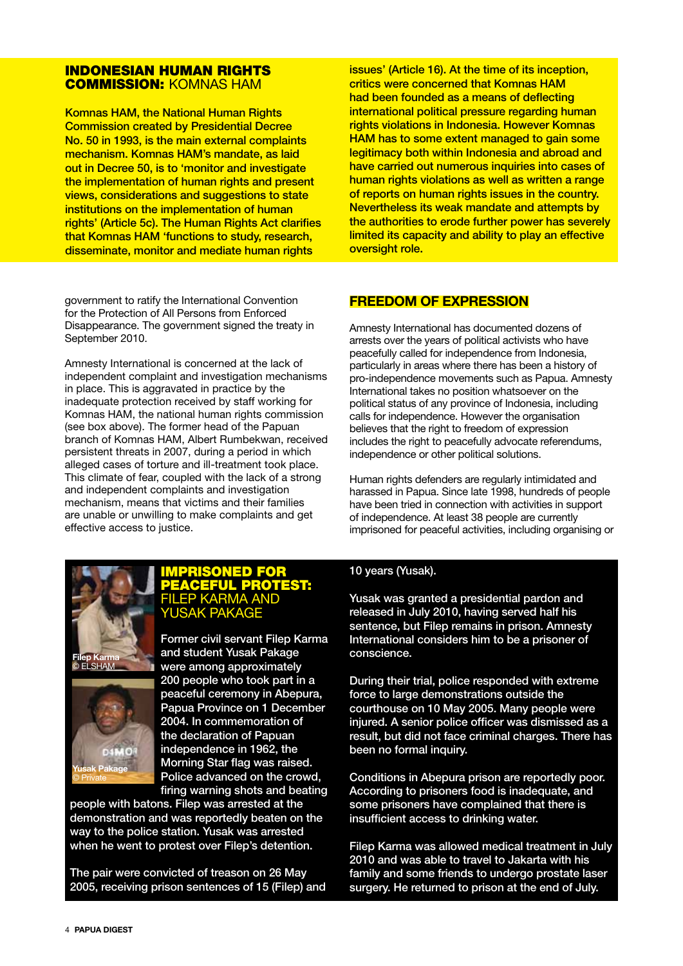#### INDONESIAN HUMAN RIGHTS COMMISSION: Komnas HAM

Komnas HAM, the National Human Rights Commission created by Presidential Decree No. 50 in 1993, is the main external complaints mechanism. Komnas HAM's mandate, as laid out in Decree 50, is to 'monitor and investigate the implementation of human rights and present views, considerations and suggestions to state institutions on the implementation of human rights' (Article 5c). The Human Rights Act clarifies that Komnas HAM 'functions to study, research, disseminate, monitor and mediate human rights

government to ratify the International Convention for the Protection of All Persons from Enforced Disappearance. The government signed the treaty in September 2010.

Amnesty International is concerned at the lack of independent complaint and investigation mechanisms in place. This is aggravated in practice by the inadequate protection received by staff working for Komnas HAM, the national human rights commission (see box above). The former head of the Papuan branch of Komnas HAM, Albert Rumbekwan, received persistent threats in 2007, during a period in which alleged cases of torture and ill-treatment took place. This climate of fear, coupled with the lack of a strong and independent complaints and investigation mechanism, means that victims and their families are unable or unwilling to make complaints and get effective access to justice.

issues' (Article 16). At the time of its inception, critics were concerned that Komnas HAM had been founded as a means of deflecting international political pressure regarding human rights violations in Indonesia. However Komnas HAM has to some extent managed to gain some legitimacy both within Indonesia and abroad and have carried out numerous inquiries into cases of human rights violations as well as written a range of reports on human rights issues in the country. Nevertheless its weak mandate and attempts by the authorities to erode further power has severely limited its capacity and ability to play an effective oversight role.

#### **Freedom of expression**

Amnesty International has documented dozens of arrests over the years of political activists who have peacefully called for independence from Indonesia, particularly in areas where there has been a history of pro-independence movements such as Papua. Amnesty International takes no position whatsoever on the political status of any province of Indonesia, including calls for independence. However the organisation believes that the right to freedom of expression includes the right to peacefully advocate referendums, independence or other political solutions.

Human rights defenders are regularly intimidated and harassed in Papua. Since late 1998, hundreds of people have been tried in connection with activities in support of independence. At least 38 people are currently imprisoned for peaceful activities, including organising or



#### Imprisoned for peaceful protest: **ILEP KARMA AND** Yusak Pakage

Former civil servant Filep Karma and student Yusak Pakage were among approximately 200 people who took part in a peaceful ceremony in Abepura, Papua Province on 1 December 2004. In commemoration of the declaration of Papuan independence in 1962, the Morning Star flag was raised. Police advanced on the crowd, firing warning shots and beating

people with batons. Filep was arrested at the demonstration and was reportedly beaten on the way to the police station. Yusak was arrested when he went to protest over Filep's detention.

The pair were convicted of treason on 26 May 2005, receiving prison sentences of 15 (Filep) and

#### 10 years (Yusak).

Yusak was granted a presidential pardon and released in July 2010, having served half his sentence, but Filep remains in prison. Amnesty International considers him to be a prisoner of conscience.

During their trial, police responded with extreme force to large demonstrations outside the courthouse on 10 May 2005. Many people were injured. A senior police officer was dismissed as a result, but did not face criminal charges. There has been no formal inquiry.

Conditions in Abepura prison are reportedly poor. According to prisoners food is inadequate, and some prisoners have complained that there is insufficient access to drinking water.

Filep Karma was allowed medical treatment in July 2010 and was able to travel to Jakarta with his family and some friends to undergo prostate laser surgery. He returned to prison at the end of July.

**Yusak Pakage**  © Private

**DAM OR**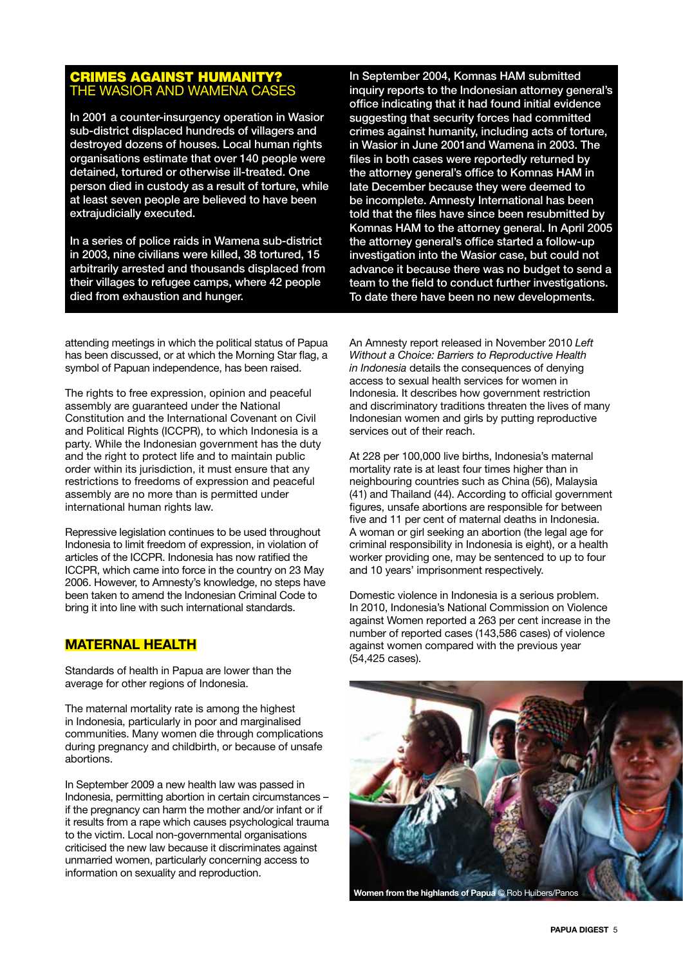#### **AGAINST HUMANITY? SIOR AND WAMENA CASES**

In 2001 a counter-insurgency operation in Wasior sub-district displaced hundreds of villagers and destroyed dozens of houses. Local human rights organisations estimate that over 140 people were detained, tortured or otherwise ill-treated. One person died in custody as a result of torture, while at least seven people are believed to have been extrajudicially executed.

In a series of police raids in Wamena sub-district in 2003, nine civilians were killed, 38 tortured, 15 arbitrarily arrested and thousands displaced from their villages to refugee camps, where 42 people died from exhaustion and hunger.

attending meetings in which the political status of Papua has been discussed, or at which the Morning Star flag, a symbol of Papuan independence, has been raised.

The rights to free expression, opinion and peaceful assembly are guaranteed under the National Constitution and the International Covenant on Civil and Political Rights (ICCPR), to which Indonesia is a party. While the Indonesian government has the duty and the right to protect life and to maintain public order within its jurisdiction, it must ensure that any restrictions to freedoms of expression and peaceful assembly are no more than is permitted under international human rights law.

Repressive legislation continues to be used throughout Indonesia to limit freedom of expression, in violation of articles of the ICCPR. Indonesia has now ratified the ICCPR, which came into force in the country on 23 May 2006. However, to Amnesty's knowledge, no steps have been taken to amend the Indonesian Criminal Code to bring it into line with such international standards.

#### **Maternal health**

Standards of health in Papua are lower than the average for other regions of Indonesia.

The maternal mortality rate is among the highest in Indonesia, particularly in poor and marginalised communities. Many women die through complications during pregnancy and childbirth, or because of unsafe abortions.

In September 2009 a new health law was passed in Indonesia, permitting abortion in certain circumstances – if the pregnancy can harm the mother and/or infant or if it results from a rape which causes psychological trauma to the victim. Local non-governmental organisations criticised the new law because it discriminates against unmarried women, particularly concerning access to information on sexuality and reproduction.

In September 2004, Komnas HAM submitted inquiry reports to the Indonesian attorney general's office indicating that it had found initial evidence suggesting that security forces had committed crimes against humanity, including acts of torture, in Wasior in June 2001and Wamena in 2003. The files in both cases were reportedly returned by the attorney general's office to Komnas HAM in late December because they were deemed to be incomplete. Amnesty International has been told that the files have since been resubmitted by Komnas HAM to the attorney general. In April 2005 the attorney general's office started a follow-up investigation into the Wasior case, but could not advance it because there was no budget to send a team to the field to conduct further investigations. To date there have been no new developments.

An Amnesty report released in November 2010 *Left Without a Choice: Barriers to Reproductive Health in Indonesia* details the consequences of denving access to sexual health services for women in Indonesia. It describes how government restriction and discriminatory traditions threaten the lives of many Indonesian women and girls by putting reproductive services out of their reach.

At 228 per 100,000 live births, Indonesia's maternal mortality rate is at least four times higher than in neighbouring countries such as China (56), Malaysia (41) and Thailand (44). According to official government figures, unsafe abortions are responsible for between five and 11 per cent of maternal deaths in Indonesia. A woman or girl seeking an abortion (the legal age for criminal responsibility in Indonesia is eight), or a health worker providing one, may be sentenced to up to four and 10 years' imprisonment respectively.

Domestic violence in Indonesia is a serious problem. In 2010, Indonesia's National Commission on Violence against Women reported a 263 per cent increase in the number of reported cases (143,586 cases) of violence against women compared with the previous year (54,425 cases).

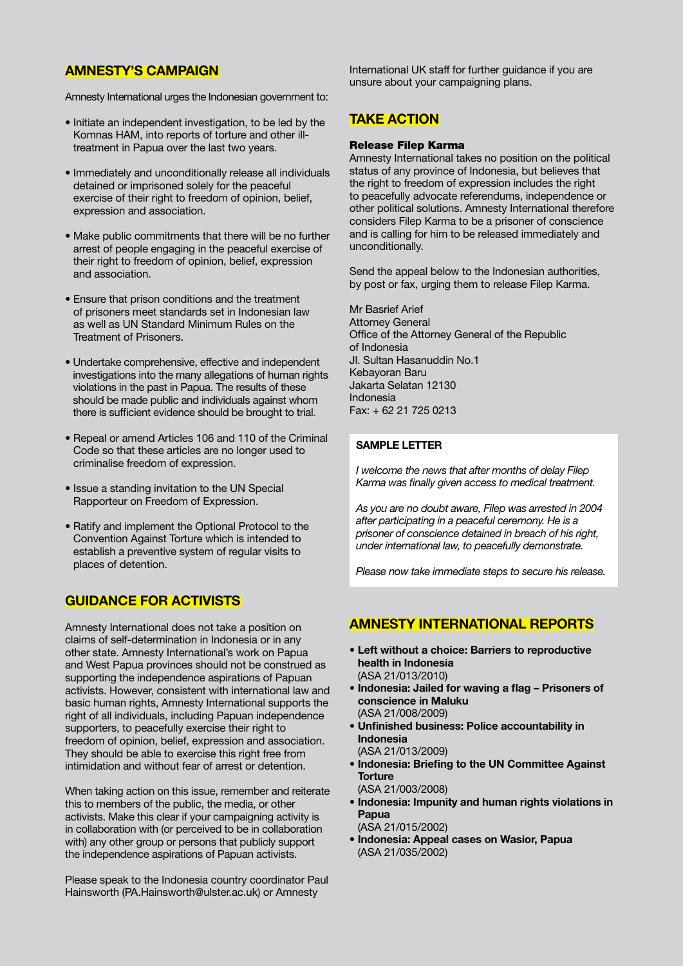#### **AMNESTY'S CAMPAIGN**

Amnesty International urges the Indonesian government to:

- Initiate an independent investigation, to be led by the Komnas HAM, into reports of torture and other illtreatment in Papua over the last two years.
- Immediately and unconditionally release all individuals detained or imprisoned solely for the peaceful exercise of their right to freedom of opinion, belief, expression and association.
- Make public commitments that there will be no further arrest of people engaging in the peaceful exercise of their right to freedom of opinion, belief, expression and association.
- Ensure that prison conditions and the treatment of prisoners meet standards set in Indonesian law as well as UN Standard Minimum Rules on the Treatment of Prisoners.
- Undertake comprehensive, effective and independent investigations into the many allegations of human rights violations in the past in Papua. The results of these should be made public and individuals against whom there is sufficient evidence should be brought to trial.
- Repeal or amend Articles 106 and 110 of the Criminal Code so that these articles are no longer used to criminalise freedom of expression.
- Issue a standing invitation to the UN Special Rapporteur on Freedom of Expression.
- Ratify and implement the Optional Protocol to the Convention Against Torture which is intended to establish a preventive system of regular visits to places of detention.

#### **GUIDANCE FOR ACTIVISTS**

Amnesty International does not take a position on claims of self-determination in Indonesia or in any other state. Amnesty International's work on Papua and West Papua provinces should not be construed as supporting the independence aspirations of Papuan activists. However, consistent with international law and basic human rights, Amnesty International supports the right of all individuals, including Papuan independence supporters, to peacefully exercise their right to freedom of opinion, belief, expression and association. They should be able to exercise this right free from intimidation and without fear of arrest or detention.

When taking action on this issue, remember and reiterate this to members of the public, the media, or other activists. Make this clear if your campaigning activity is in collaboration with (or perceived to be in collaboration with) any other group or persons that publicly support the independence aspirations of Papuan activists.

Please speak to the Indonesia country coordinator Paul Hainsworth (PA.Hainsworth@ulster.ac.uk) or Amnesty

International UK staff for further guidance if you are unsure about your campaigning plans.

#### **TAKE ACTION**

#### Release Filep Karma

Amnesty International takes no position on the political status of any province of Indonesia, but believes that the right to freedom of expression includes the right to peacefully advocate referendums, independence or other political solutions. Amnesty International therefore considers Filep Karma to be a prisoner of conscience and is calling for him to be released immediately and unconditionally.

Send the appeal below to the Indonesian authorities, by post or fax, urging them to release Filep Karma.

Mr Basrief Arief Attorney General Office of the Attorney General of the Republic of Indonesia Jl. Sultan Hasanuddin No.1 Kebayoran Baru Jakarta Selatan 12130 Indonesia Fax: + 62 21 725 0213

#### **SAMPLE LETTER**

*I welcome the news that after months of delay Filep Karma was finally given access to medical treatment.*

*As you are no doubt aware, Filep was arrested in 2004 after participating in a peaceful ceremony. He is a prisoner of conscience detained in breach of his right, under international law, to peacefully demonstrate.*

*Please now take immediate steps to secure his release.*

#### **AMNESTY INTERNATIONAL REPORTS**

- **Left without a choice: Barriers to reproductive health in Indonesia** (ASA 21/013/2010)
- **Indonesia: Jailed for waving a flag Prisoners of conscience in Maluku** (ASA 21/008/2009)
- **Unfinished business: Police accountability in Indonesia** (ASA 21/013/2009)
- **Indonesia: Briefing to the UN Committee Against Torture**
- (ASA 21/003/2008) • **Indonesia: Impunity and human rights violations in Papua**
- (ASA 21/015/2002) • **Indonesia: Appeal cases on Wasior, Papua** (ASA 21/035/2002)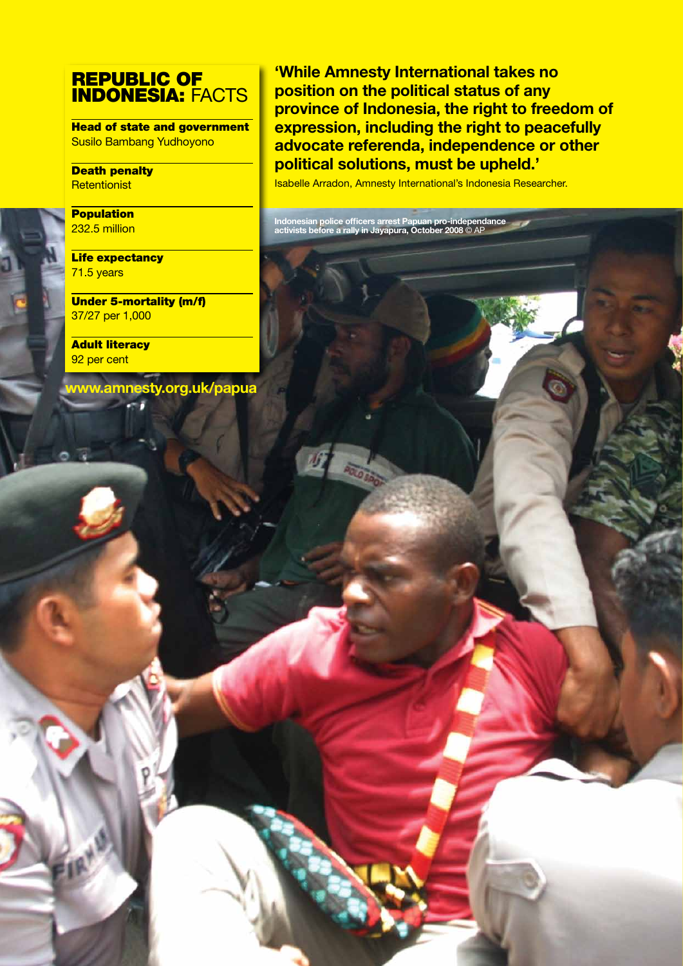## REPUBLIC OF INDONESIA: FACTS

Head of state and government Susilo Bambang Yudhoyono

Death penalty **Retentionist** 

**Population** 232.5 million

**Life expectancy** 71.5 years

Under 5-mortality (m/f) 37/27 per 1,000

**Adult literacy** 92 per cent

**www.amnesty.org.uk/papua**

**'While Amnesty International takes no position on the political status of any province of Indonesia, the right to freedom of expression, including the right to peacefully advocate referenda, independence or other political solutions, must be upheld.'**

Isabelle Arradon, Amnesty International's Indonesia Researcher.

**Indonesian police officers arrest Papuan pro-independance activists before a rally in Jayapura, October 2008** © AP